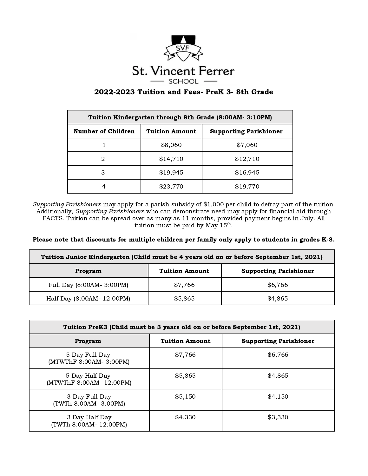

## 2022-2023 Tuition and Fees- PreK 3- 8th Grade

| Tuition Kindergarten through 8th Grade (8:00AM- 3:10PM) |                       |                               |  |  |
|---------------------------------------------------------|-----------------------|-------------------------------|--|--|
| <b>Number of Children</b>                               | <b>Tuition Amount</b> | <b>Supporting Parishioner</b> |  |  |
|                                                         | \$8,060               | \$7,060                       |  |  |
|                                                         | \$14,710              | \$12,710                      |  |  |
| З                                                       | \$19,945              | \$16,945                      |  |  |
| 4                                                       | \$23,770              | \$19,770                      |  |  |

Supporting Parishioners may apply for a parish subsidy of \$1,000 per child to defray part of the tuition. Additionally, Supporting Parishioners who can demonstrate need may apply for financial aid through FACTS. Tuition can be spread over as many as 11 months, provided payment begins in July. All tuition must be paid by May  $15<sup>th</sup>$ .

## Please note that discounts for multiple children per family only apply to students in grades K-8.

| Tuition Junior Kindergarten (Child must be 4 years old on or before September 1st, 2021) |                       |                               |  |  |
|------------------------------------------------------------------------------------------|-----------------------|-------------------------------|--|--|
| Program                                                                                  | <b>Tuition Amount</b> | <b>Supporting Parishioner</b> |  |  |
| Full Day (8:00AM-3:00PM)                                                                 | \$7,766               | \$6,766                       |  |  |
| Half Day (8:00AM- 12:00PM)                                                               | \$5,865               | \$4,865                       |  |  |

| Tuition PreK3 (Child must be 3 years old on or before September 1st, 2021) |                       |                               |  |  |
|----------------------------------------------------------------------------|-----------------------|-------------------------------|--|--|
| Program                                                                    | <b>Tuition Amount</b> | <b>Supporting Parishioner</b> |  |  |
| 5 Day Full Day<br>(MTWThF 8:00AM- 3:00PM)                                  | \$7,766               | \$6,766                       |  |  |
| 5 Day Half Day<br>(MTWThF 8:00AM- 12:00PM)                                 | \$5,865               | \$4,865                       |  |  |
| 3 Day Full Day<br>(TWTh 8:00AM-3:00PM)                                     | \$5,150               | \$4,150                       |  |  |
| 3 Day Half Day<br>(TWTh 8:00AM- 12:00PM)                                   | \$4,330               | \$3,330                       |  |  |